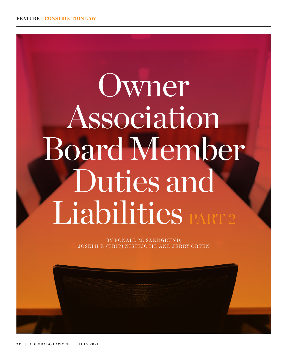# Owner Association Board Member Duties and Liabilities PART

BY RONALD M. SANDGRUND, JOSEPH F. (TRIP) NISTICO III, AND JERRY ORTEN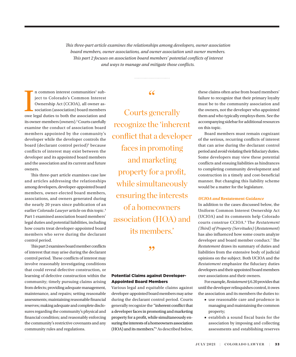<span id="page-1-0"></span>*This three-part article examines the relationships among developers, owner association board members, owner associations, and owner association unit owner members. This part 2 focuses on association board members' potential conflicts of interest and ways to manage and mitigate those conflicts.*

In common interest communities<sup>1</sup> subject to Colorado's Common Interest Ownership Act (CCIOA), all owner association (association) board members owe legal duties to both the association and n common interest communities<sup>[1](#page-6-0)</sup> subject to Colorado's Common Interest Ownership Act (CCIOA), all owner association (association) board members its owner-members (owners).<sup>2</sup> Courts carefully examine the conduct of association board members appointed by the community's developer while the developer controls the board (declarant control period)<sup>3</sup> because conflicts of interest may exist between the developer and its appointed board members and the association and its current and future owners.

This three-part article examines case law and articles addressing the relationships among developers, developer-appointed board members, owner-elected board members, associations, and owners generated during the nearly 20 years since publication of an earlier *Colorado Lawyer* article on this topic[.4](#page-6-0) Part 1 examined association board members' legal duties and potential liabilities, including how courts treat developer-appointed board members who serve during the declarant control period.

This part 2 examines board member conflicts of interest that may arise during the declarant control period. These conflicts of interest may involve reasonably investigating conditions that could reveal defective construction, or learning of defective construction within the community; timely pursuing claims arising from defects; providing adequate management, maintenance, and repairs; setting reasonable assessments; maintaining reasonable financial reserves; making adequate and complete disclosures regarding the community's physical and financial condition; and reasonably enforcing the community's restrictive covenants and any community rules and regulations.

# "

Courts generally recognize the 'inherent conflict that a developer faces in promoting and marketing property for a profit, while simultaneously ensuring the interests of a homeowners association (HOA) and its members.'

## ,,

## Potential Claims against Developer-Appointed Board Members

Various legal and equitable claims against developer-appointed board members may arise during the declarant control period. Courts generally recognize the "inherent conflict that a developer faces in promoting and marketing property for a profit, while simultaneously ensuring the interests of a homeowners association (HOA) and its members."[5](#page-6-0) As described below, these claims often arise from board members' failure to recognize that their primary loyalty must be to the community association and the owners, not the developer who appointed them and who typically employs them. See the accompanying sidebar for additional resources on this topic.

Board members must remain cognizant of the serious, recurring conflicts of interest that can arise during the declarant control period and avoid violating their fiduciary duties. Some developers may view these potential conflicts and ensuing liabilities as hindrances to completing community development and construction in a timely and cost-beneficial manner. But changing this liability scheme would be a matter for the legislature.

## *UCIOA and* **Restatement** *Guidance*

In addition to the cases discussed below, the Uniform Common Interest Ownership Act (UCIOA) and its comments help Colorado courts construe CCIOA[.6](#page-6-0) The *Restatement (Third) of Property (Servitudes)* (*Restatement*) has also influenced how some courts analyze developer and board member conduct.[7](#page-6-0) The *Restatement* draws its summary of duties and liabilities from the extensive body of judicial opinions on the subject. Both UCIOA and the *Restatement* emphasize the fiduciary duties developers and their appointed board members owe associations and their owners.

For example, *Restatement* § 6.20 provides that until the developer relinquishes control, it owes the association and its members the duties to:

- use reasonable care and prudence in managing and maintaining the common property;
- establish a sound fiscal basis for the association by imposing and collecting assessments and establishing reserves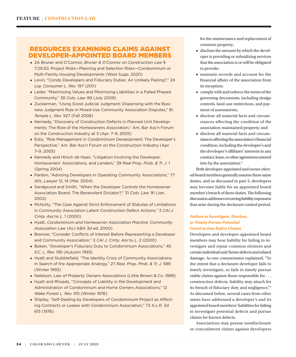# <span id="page-2-0"></span>RESOURCES EXAMINING CLAIMS AGAINST DEVELOPER-APPOINTED BOARD MEMBERS

- 2A Bruner and O'Connor, *Bruner & O'Connor on Construction Law* § 7:29.50, Project Risks—Planning and Selection Risks—Condominium or Multi-Family Housing Developments (West Supp. 2020)
- Levin, "Condo Developers and Fiduciary Duties: An Unlikely Pairing?," 24 *Loy. Consumer L. Rev.* 197 (2011)
- Leder, "Maximizing Values and Minimizing Liabilities in a Failed Phased Community," 38 *Colo. Law.* 89 (July 2009)
- Zuckerman, "Using Good Judicial Judgment: Dispensing with the Business Judgment Rule in Mixed-Use Community Association Disputes," 81 *Temple L. Rev.* 927 (Fall 2008)
- Kennedy, "Discovery of Construction Defects in Planned Unit Developments: The Role of the Homeowners Association," Am. Bar Ass'n Forum on the Construction Industry at 3 (Apr. 7–9, 2005)
- Estis, "Risk Management in Condominium Development: The Developer's Perspective," Am. Bar Ass'n Forum on the Construction Industry (Apr. 7–9, 2005)
- Kennedy and Hirsch de Haan, "Litigation Involving the Developer, Homeowners' Associations, and Lenders," 39 *Real Prop. Prob. & Tr. J.* 1 (Spring 2004)
- Pardon, "Advising Developers in Operating Community Associations," 77 *Wis. Lawyer* 12, 14 (Mar. 2004)
- Sandgrund and Smith, "When the Developer Controls the Homeowner Association Board: The Benevolent Dictator?," 31 *Colo. Law.* 91 (Jan. 2002)
- McNulty, "The Case Against Strict Enforcement of Statutes of Limitations in Community Association Latent Construction Defect Actions," 3 *CAI J. Cmty. Ass'ns L.* 1 (2000)
- Hyatt, *Condominium and Homeowner Association Practice: Community Association Law* (ALI-ABA 3d ed. 2000)
- Brenner, "Consider Conflicts of Interest Before Representing a Developer and Community Association," 3 *CAI J. Cmty. Ass'ns L.* 2 (2000)
- Boken, "Developer's Fiduciary Duty to Condominium Associations," 45 *S.C. L. Rev.* 195 (Autumn 1993)
- Hyatt and Stubblefield, "The Identity Crisis of Community Associations: In Search of the Appropriate Analogy," 27 *Real. Prop. Prob. & Tr. J.* 589 (Winter 1993)
- Natelson, *Law of Property Owners Associations* (Little Brown & Co. 1989)
- Hyatt and Rhoads, "Concepts of Liability in the Development and Administration of Condominium and Home Owners Associations," 12 *Wake Forest L. Rev.* 915 (Winter 1976)
- Shipley, "Self-Dealing by Developers of Condominium Project as Affecting Contracts or Leases with Condominium Association," 73 A.L.R. 3d 613 (1976)

for the maintenance and replacement of common property;

- disclose the amount by which the developer is providing or subsidizing services that the association is or will be obligated to provide;
- maintain records and account for the financial affairs of the association from its inception;
- comply with and enforce the terms of the governing documents, including design controls, land-use restrictions, and payment of assessments;
- disclose all material facts and circumstances affecting the condition of the association-maintained property; and
- disclose all material facts and circumstances affecting the association's financial condition, including the developer's and the developer's affiliates' interests in any contract, lease, or other agreement entered into by the association.<sup>8</sup>

Both developer-appointed and owner-elected board members generally assume these same duties, and as discussed in part 3, developers may become liable for an appointed board member's breach of these duties. The following discussion addresses recurring liability exposures that arise during the declarant control period.

## *Failure to Investigate, Disclose, or Timely Pursue Potential Construction Defect Claims*

Developers and developer-appointed board members may bear liability for failing to investigate and repair common element and certain individual unit/home defects and related damage. As one commentator explained, "To the extent that a declarant-developer fails to timely investigate, or fails to timely pursue viable claims against those responsible for . . . construction defects, liability may attach for its breach of fiduciary duty and negligence.["9](#page-6-0) As discussed below, several cases from other states have addressed a developer's and its appointed board members' liabilities for failing to investigate potential defects and pursue claims for known defects.

Associations may pursue nondisclosure or concealment claims against developers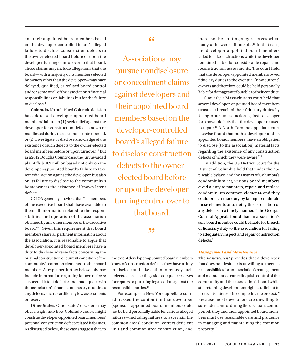<span id="page-3-0"></span>and their appointed board members based on the developer-controlled board's alleged failure to disclose construction defects to the owner-elected board before or upon the developer turning control over to that board. These claims may include allegations that the board—with a majority of its members elected by owners other than the developer—may have delayed, qualified, or refused board control and/or some or all of the association's financial responsibilities or liabilities but for the failure to disclose[.10](#page-6-0)

**Colorado.** No published Colorado decision has addressed developer-appointed board members' failure to (1) seek relief against the developer for construction defects known or manifested during the declarant control period, or (2) investigate or disclose knowledge of the existence of such defects to the owner-elected board members before or upon turnover.<sup>11</sup> But in a 2012 Douglas County case, the jury awarded plaintiffs \$18.2 million based not only on the developer-appointed board's failure to take remedial action against the developer, but also on its failure to disclose to the community's homeowners the existence of known latent defects[.12](#page-7-0)

CCIOA generally provides that "all members of the executive board shall have available to them all information related to the responsibilities and operation of the association obtained by any other member of the executive board.["13](#page-7-0) Given this requirement that board members share all pertinent information about the association, it is reasonable to argue that developer-appointed board members have a duty to disclose adverse facts concerning the original construction or current condition of the community's common elements to other board members. As explained further below, this may include information regarding known defects; suspected latent defects; and inadequacies in the association's finances necessary to address any defects, such as artificially low assessments or reserves.

**Other States.** Other states' decisions may offer insight into how Colorado courts might construe developer-appointed board members' potential construction defect-related liabilities. As discussed below, these cases suggest that, to

## "

Associations may pursue nondisclosure or concealment claims against developers and their appointed board members based on the developer-controlled board's alleged failure to disclose construction defects to the ownerelected board before or upon the developer turning control over to that board.

,,

the extent developer-appointed board members know of construction defects, they have a duty to disclose and take action to remedy such defects, such as setting aside adequate reserves for repairs or pursuing legal action against the responsible parties.<sup>[14](#page-7-0)</sup>

For example, a New York appellate court addressed the contention that developer (sponsor)-appointed board members could not be held personally liable for various alleged failures—including failures to ascertain the common areas' condition, correct deficient unit and common area construction, and increase the contingency reserves when many units were still unsold.<sup>15</sup> In that case, the developer-appointed board members failed to take such actions while the developer remained liable for considerable repair and reconstruction assessments. The court held that the developer-appointed members owed fiduciary duties to the eventual (now current) owners and therefore could be held personally liable for damages attributable to their conduct.

Similarly, a Massachusetts court held that several developer-appointed board members (trustees) breached their fiduciary duties by failing to pursue legal action against a developer for known defects that the developer refused to repair.<sup>[16](#page-7-0)</sup> A North Carolina appellate court likewise found that both a developer and its appointed board members "have an obligation to disclose [to the association] material facts regarding the existence of any construction defects of which they were aware."[17](#page-7-0)

In addition, the US District Court for the District of Columbia held that under the applicable bylaws and the District of Columbia's condominium act, various board members owed a duty to maintain, repair, and replace condominium common elements, and they could breach that duty by failing to maintain those elements or to notify the association of any defects in a timely manner.[18](#page-7-0) The Georgia Court of Appeals found that an association's sole board member could be liable for breach of fiduciary duty to the association for failing to adequately inspect and repair construction defects.<sup>[19](#page-7-0)</sup>

#### *Management and Maintenance*

The *Restatement* provides that a developer that does not desire or is unwilling to meet its responsibilities for an association's management and maintenance can relinquish control of the community and the association's board while still retaining development rights sufficient to protect its interests in completing the project.<sup>[20](#page-7-0)</sup> Because most developers are unwilling to surrender control during the declarant control period, they and their appointed board members must use reasonable care and prudence in managing and maintaining the common property.<sup>[21](#page-7-0)</sup>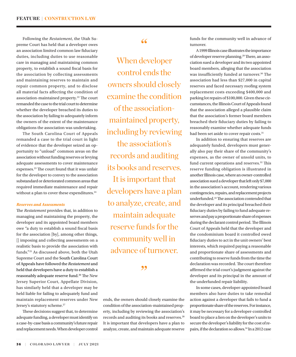<span id="page-4-0"></span>Following the *Restatement*, the Utah Supreme Court has held that a developer owes an association limited common law fiduciary duties, including duties to use reasonable care in managing and maintaining common property, to establish a sound fiscal basis for the association by collecting assessments and maintaining reserves to maintain and repair common property, and to disclose all material facts affecting the condition of association-maintained property.<sup>[22](#page-7-0)</sup> The court remanded the case to the trial court to determine whether the developer breached its duties to the association by failing to adequately inform the owners of the extent of the maintenance obligations the association was undertaking.

The South Carolina Court of Appeals remanded a case to the trial court in light of evidence that the developer seized an opportunity to "unload" common areas on the association without funding reserves or levying adequate assessments to cover maintenance expenses.[23](#page-7-0) The court found that it was unfair for the developer to convey to the association substandard or deteriorated common areas that required immediate maintenance and repair without a plan to cover these expenditures.<sup>[24](#page-7-0)</sup>

#### *Reserves and Assessments*

The *Restatement* provides that, in addition to managing and maintaining the property, the developer and its appointed board members owe "a duty to establish a sound fiscal basis for the association [by], among other things, [] imposing and collecting assessments on a realistic basis to provide the association with funds.["25](#page-7-0) As discussed above, both the Utah Supreme Court and the South Carolina Court of Appeals have followed the *Restatement* and held that developers have a duty to establish a reasonably adequate reserve fund.<sup>26</sup> The New Jersey Superior Court, Appellate Division, has similarly held that a developer may be held liable for failing to adequately fund and maintain replacement reserves under New Jersey's statutory scheme.<sup>[27](#page-7-0)</sup>

These decisions suggest that, to determine adequate funding, a developer must identify on a case-by-case basis a community's future repair and replacement needs. When developer control

# "

When developer control ends the owners should closely examine the condition of the associationmaintained property, including by reviewing the association's records and auditing its books and reserves. It is important that developers have a plan to analyze, create, and maintain adequate reserve funds for the community well in advance of turnover.

# ,,

ends, the owners should closely examine the condition of the association-maintained property, including by reviewing the association's records and auditing its books and reserves.[28](#page-7-0) It is important that developers have a plan to analyze, create, and maintain adequate reserve

funds for the community well in advance of turnover.

A 1999 Illinois case illustrates the importance of developer reserve planning.[29](#page-7-0) There, an association sued a developer and its two appointed board members, alleging that the association was insufficiently funded at turnover.<sup>30</sup> The association had less than \$27,000 in capital reserves and faced necessary roofing system replacement costs exceeding \$400,000 and parking lot repairs of \$100,000. Given these circumstances, the Illinois Court of Appeals found that the association alleged a plausible claim that the association's former board members breached their fiduciary duties by failing to reasonably examine whether adequate funds had been set aside to cover repair costs.<sup>31</sup>

In addition to ensuring that reserves are adequately funded, developers must generally also pay their share of the community's expenses, as the owner of unsold units, to fund current operations and reserves.<sup>32</sup> This reserve funding obligation is illustrated in another Illinois case, where an owner-controlled association sued a developer that left only \$7,000 in the association's account, rendering various contingencies, repairs, and replacement projects underfunded[.33](#page-7-0) The association contended that the developer and its principal breached their fiduciary duties by failing to fund adequate reserves and pay a proportionate share of expenses during the declarant control period. The Illinois Court of Appeals held that the developer and the condominium board it controlled owed fiduciary duties to act in the unit owners' best interests, which required paying a reasonable and proportionate share of assessments and contributing to reserve funds from the time the declaration was recorded. The court therefore affirmed the trial court's judgment against the developer and its principal in the amount of the underfunded repair liability.

In some cases, developer-appointed board members also have duties to take remedial action against a developer that fails to fund a proportionate share of the reserves. For instance, it may be necessary for a developer-controlled board to place a lien on the developer's units to secure the developer's liability for the cost of repairs, if the declaration so allows[.34](#page-7-0) In a 2012 case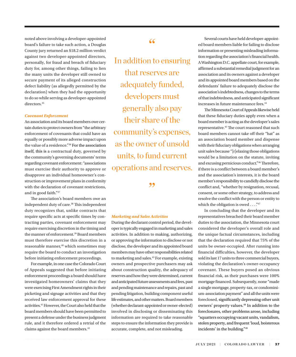<span id="page-5-0"></span>noted above involving a developer-appointed board's failure to take such action, a Douglas County jury returned an \$18.2 million verdict against two developer-appointed directors, personally, for fraud and breach of fiduciary duty for, among other things, failing to lien the many units the developer still owned to secure payment of its alleged construction defect liability (as allegedly permitted by the declaration) when they had the opportunity to do so while serving as developer-appointed directors.<sup>35</sup>

## *Covenant Enforcement*

An association and its board members owe certain duties to protect owners from "the arbitrary enforcement of covenants that could have an equally or possibly more adverse impact upon the value of a residence."[36](#page-7-0) For the association itself, this is a contractual duty, governed by the community's governing documents' terms regarding covenant enforcement: "associations must exercise their authority to approve or disapprove an individual homeowner's construction or improvement plans in conformity with the declaration of covenant restrictions, and in good faith.["37](#page-7-0)

The association's board members owe an independent duty of care.<sup>38</sup> This independent duty recognizes that, unlike contracts that require specific acts at specific times by contracting parties, covenant enforcement may require exercising discretion in the timing and the manner of enforcement.<sup>39</sup> Board members must therefore exercise this discretion in a reasonable manner,<sup>[40](#page-7-0)</sup> which sometimes may require the board to conduct an investigation before initiating enforcement proceedings.

For example, in one case the Colorado Court of Appeals suggested that before initiating enforcement proceedings a board should have investigated homeowners' claims that they were exercising First Amendment rights in their picketing and signage activities and that they received law enforcement approval for these activities[.41](#page-7-0) However, the Court also held that the board members should have been permitted to present a defense under the business judgment rule, and it therefore ordered a retrial of the claims against the board members.<sup>42</sup>

# "

In addition to ensuring that reserves are adequately funded, developers must generally also pay their share of the community's expenses, as the owner of unsold units, to fund current operations and reserves.

,,

## *Marketing and Sales Activities*

During the declarant control period, the developer is typically engaged in marketing and sales activities. In addition to making, authorizing, or approving the information to disclose or not disclose, the developer and its appointed board members may have other responsibilities related to marketing and sales.[43](#page-7-0) For example, existing owners and prospective purchasers may ask about construction quality, the adequacy of reserves and how they were determined, current and anticipated future assessments and fees, past and pending maintenance and repairs, past and pending litigation, building component useful life estimates, and other matters. Board members (whether declarant-appointed or owner-elected) involved in disclosing or disseminating this information are required to take reasonable steps to ensure the information they provide is accurate, complete, and not misleading.

Several courts have held developer-appointed board members liable for failing to disclose information or presenting misleading information regarding the association's financial health. A Washington D.C. appellate court, for example, affirmed a substantial remedial judgment for an association and its owners against a developer and its appointed board members based on the defendants' failure to adequately disclose the association's indebtedness, changes to the terms of that indebtedness, and anticipated significant increases in future maintenance fees.<sup>44</sup>

The Minnesota Court of Appeals likewise held that these fiduciary duties apply even when a board member is acting as the developer's sales representative[.45](#page-7-0) The court reasoned that such board members cannot take off their "hat" as an association board member and dispense with their fiduciary obligations when arranging unit sales because "[r]elaxing those obligations would be a limitation on the statute, inviting and excusing pernicious conduct."[46](#page-7-0) Therefore, if there is a conflict between a board member's and the association's interests, it is the board member's responsibility to candidly disclose the conflict and, "whether by resignation, recusal, consent, or some other strategy, to address and resolve the conflict with the person or entity to which the obligation is owed  $\dots$ ."<sup>[47](#page-7-0)</sup>

In concluding that the developer and its representatives breached their board member duties to the association, the Minnesota court considered the developer's overall role and the unique factual circumstances, including that the declaration required that 75% of the units be owner-occupied. After running into financial difficulties, however, the developer sold its last 17 units to three commercial buyers, violating the declaration's owner-occupancy covenant. These buyers posed an obvious financial risk, as their purchases were 100% mortgage financed. Subsequently, none "made a single mortgage, property-tax, or condominium-association payment" and all the units were foreclosed, significantly depressing other unit owners' property values.<sup>48</sup> In addition to the foreclosures, other problems arose, including "squatters occupying vacant units, vandalism, stolen property, and frequent 'loud, boisterous incidents' in the building.["49](#page-7-0)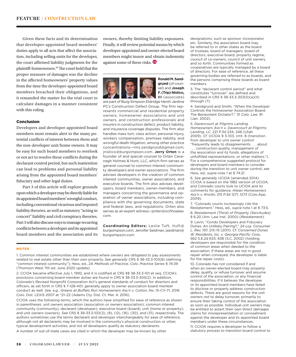<span id="page-6-0"></span>Given these facts and its determination that developer-appointed board members' duties apply to all acts that affect the association, including selling units for the developer, the court affirmed liability judgments for the plaintiff-homeowners[.50](#page-7-0) The court held that the proper measure of damages was the decline in the affected homeowners' property values from the time the developer-appointed board members breached their obligations, and it remanded the matter for the trial court to calculate damages in a manner consistent with this ruling.

#### Conclusion

Developers and developer-appointed board members must remain alert to the many potential conflicts of interest between them and the non-developer unit/home owners. It may be easy for such board members to overlook or not act to resolve these conflicts during the declarant control period, but such inattention can lead to problems and personal liability arising from the appointed board members' fiduciary and other legal duties.

Part 3 of this article will explore grounds upon which a developer may be directly liable for its appointed board members' wrongful conduct, including conventional vicarious and imputed liability theories, as well as statutory "acting in concert" liability and civil conspiracy theories. Part 3 will also discuss ways to manage recurring conflicts between a developer and its appointed board members and the association and its owners, thereby limiting liability exposures. Finally, it will review potential means by which developer-appointed and owner-elected board members might insure and obtain indemnity against some of these risks.



**Ronald M. Sandgrund** (of counsel) and **Joseph F. (Trip) Nistico, III** (associate)

are part of Burg Simpson Eldridge Hersh Jardine PC's Construction Defect Group. The firm represents commercial and residential property owners, homeowner associations and unit owners, and construction professionals and insurers in construction defect, product liability, and insurance coverage disputes. The firm also handles mass tort, class action, personal injury, workers compensation, premises liability, and wrongful death litigation, among other practice concentrations—rms.sandgrund@gmail.com; jnistico@burgsimpson.com. **Jerry Orten** is a founder of and special counsel to Orten Cavanagh Holmes & Hunt, LLC, which firm serves as general counsel to common interest community developers and owner associations. The firm advises developers in the creation of common interest communities, owner associations, and executive boards. The firm also advises developers, board members, owner-members, and managers concerning the governance and operation of owner associations, including compliance with the governing documents, state and federal laws, and regulations. Orten also serves as an expert witness—jorten@ochhoalaw. com.

**Coordinating Editors:** Leslie Tuft, ltuft@ burgsimpson.com; Jennifer Seidman, jseidman@ burgsimpson.com

#### NOTES

[1.](#page-1-0) Common interest communities are established where owners are obligated to pay assessments related to real estate other than their own property. *See generally* CRS § 38-33.3-103(8) (defining "common interest community"); Hess, ed., 2A *Methods of Practice, Colo. Practice Series* § 74:39 (Thomson West 7th ed. June 2020 update).

[2](#page-1-0). CCIOA became effective July 1, 1992, and it is codified at CRS §§ 38-33.3-101 et seq. CCIOA's provisions concerning board member duties are found in CRS § 38-33.3-303(2). In addition, Colorado's Revised Nonprofit Corporation Act's general standards of conduct for directors and officers, as set forth in CRS § 7-128-401, generally apply to owner association board member conduct as well. *See, e.g.*, *Greens at Buffalo Run Homeowners Ass'n v. Cotton*, No. 15-CV-71, 2016 Colo. Dist. LEXIS 2007 at \*21–22 (Adams Cty. Dist. Ct. Mar. 4, 2016).

CCIOA uses the following terms, which the authors have simplified for ease of reference as shown in parentheses: unit owners association (association or owners association); common interest community (community); declarant (developer); executive board (board); unit (home or property); and unit owners (owners). *See* CRS § 38-33.3-103(3), (8), (12), (16), (30), and (31), respectively. The authors sometimes use the terms declarant and developer interchangeably for ease of reference, although not all declarants may be involved in the community's physical construction or other, typical development activities, and not all developers qualify as statutory declarants. A number of out-of-state cases are cited in which the developer may be known by other

designations, such as sponsor, incorporator, etc. Similarly, the association board may be referred to in other states as the board of trustees, board of managers, board of directors, executive board, property regime, council of co-owners, council of unit owners, and so forth. Communities formed as cooperatives are typically managed by a board of directors. For ease of reference, all these governing bodies are referred to as boards, and the persons comprising these boards as board members.

[3.](#page-1-0) The "declarant control period" and what constitutes "turnover" are defined and described in CRS § 38-33.3-303(5)(a)(II) through (7).

[4](#page-1-0). Sandgrund and Smith, "When the Developer Controls the Homeowner Association Board: The Benevolent Dictator?," 31 *Colo. Law.* 91 (Jan. 2002).

[5.](#page-1-0) *Davencourt at Pilgrims Landing Homeowners Ass'n v. Davencourt at Pilgrims Landing, LC*, 221 P.3d 234, 246 (Utah 2009). *Cf.* UCIOA § 3-103, cmt. 8 (transition from developer to unit owner control "frequently leads to disagreements . . . about

. . . construction quality, management of the association and its funds, allegations of unfulfilled representations, or other matters."). For a comprehensive suggested protocol for developers and board members to consider during the transition to unit owner control, *see* Hess, ed., *supra* note 1 at § 74:21.

[6.](#page-1-0) *See generally* UCIOA (amended 2014). CCIOA is based on the 1982 version of UCIOA, and Colorado courts look to UCIOA and its comments for guidance. *Hiwan Homeowners Ass'n v. Knotts*, 215 P.3d 1271, 1273 (Colo.App. 2009).

[7.](#page-1-0) "Colorado courts increasingly cite the Restatement." Hess, ed., *supra* note 1 at § 73:5. [8.](#page-2-0) *Restatement (Third) of Property (Servitudes)* § 6.20 (Am. Law Inst. 2000) (*Restatement*).

[9.](#page-2-0) Levin, "Condo Developers and Fiduciary Duties: An Unlikely Pairing?," 24 *Loy. Consumer L. Rev.* 197, 213–15 (2011). *Cf. Concerned Dunes W. Residents, Inc. v. Georgia-Pacific Corp.*, 562 S.E.2d 633, 638 (S.C. 2002) (holding developers are responsible for the condition of common areas when deeded to the association; if these areas are not in good repair when conveyed, the developer is liable for the repair costs).

[10.](#page-3-0) Colorado has not considered if and when an owner-elected board may properly delay, qualify, or refuse turnover and assume control of the association, or any financial responsibilities, if it believes the developer or its appointed board members have failed to disclose or properly address construction defects. There are good reasons for the unit owners *not* to delay turnover, primarily to ensure their taking control of the association as soon as possible. Individual unit owners may be entitled to assert their own direct damages claims for misrepresentation or concealment against the developer and its appointed board members under these circumstances.

[11](#page-3-0). CCIOA requires a developer to follow a statutory process to transition board control to